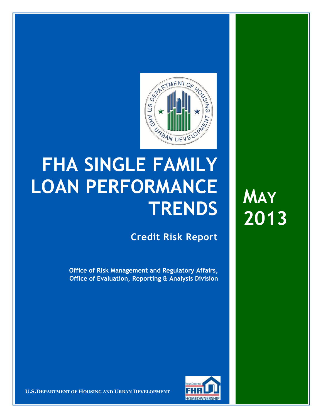

## **FHA SINGLE FAMILY LOAN PERFORMANCE TRENDS**

**Credit Risk Report**

**Office of Risk Management and Regulatory Affairs, Office of Evaluation, Reporting & Analysis Division** **MAY 2013**



**U.S.DEPARTMENT OF HOUSING AND URBAN DEVELOPMENT**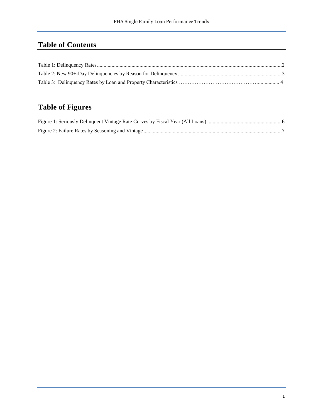## **Table of Contents**

## **Table of Figures**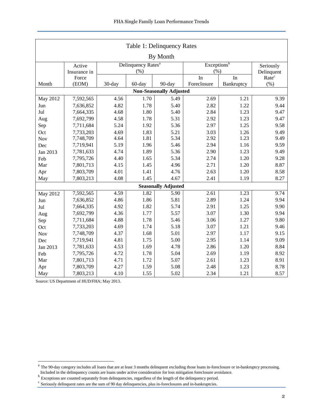<span id="page-2-0"></span>

| Table 1: Delinquency Rates     |              |        |                                |                            |             |            |                   |  |  |  |  |
|--------------------------------|--------------|--------|--------------------------------|----------------------------|-------------|------------|-------------------|--|--|--|--|
| By Month                       |              |        |                                |                            |             |            |                   |  |  |  |  |
|                                | Active       |        | Delinquency Rates <sup>a</sup> | Exceptions <sup>b</sup>    | Seriously   |            |                   |  |  |  |  |
|                                | Insurance in |        | (% )                           |                            | (% )        |            | Delinquent        |  |  |  |  |
|                                | Force        |        |                                |                            | In          | In         | Rate <sup>c</sup> |  |  |  |  |
| Month                          | (EOM)        | 30-day | 60-day                         | 90-day                     | Foreclosure | Bankruptcy | (%)               |  |  |  |  |
| <b>Non-Seasonally Adjusted</b> |              |        |                                |                            |             |            |                   |  |  |  |  |
| May 2012                       | 7,592,565    | 4.56   | 1.70                           | 5.49                       | 2.69        | 1.21       | 9.39              |  |  |  |  |
| Jun                            | 7,636,852    | 4.82   | 1.78                           | 5.40                       | 2.82        | 1.22       | 9.44              |  |  |  |  |
| Jul                            | 7,664,335    | 4.68   | 1.80                           | 5.40                       | 2.84        | 1.23       | 9.47              |  |  |  |  |
| Aug                            | 7,692,799    | 4.58   | 1.78                           | 5.31                       | 2.92        | 1.23       | 9.47              |  |  |  |  |
| Sep                            | 7,711,684    | 5.24   | 1.92                           | 5.36                       | 2.97        | 1.25       | 9.58              |  |  |  |  |
| Oct                            | 7,733,203    | 4.69   | 1.83                           | 5.21                       | 3.03        | 1.26       | 9.49              |  |  |  |  |
| <b>Nov</b>                     | 7,748,709    | 4.64   | 1.81                           | 5.34                       | 2.92        | 1.23       | 9.49              |  |  |  |  |
| Dec                            | 7,719,941    | 5.19   | 1.96                           | 5.46                       | 2.94        | 1.16       | 9.59              |  |  |  |  |
| Jan 2013                       | 7,781,633    | 4.74   | 1.89                           | 5.36                       | 2.90        | 1.23       | 9.49              |  |  |  |  |
| Feb                            | 7,795,726    | 4.40   | 1.65                           | 5.34                       | 2.74        | 1.20       | 9.28              |  |  |  |  |
| Mar                            | 7,801,713    | 4.15   | 1.45                           | 4.96                       | 2.71        | 1.20       | 8.87              |  |  |  |  |
| Apr                            | 7,803,709    | 4.01   | 1.41                           | 4.76                       | 2.63        | 1.20       | 8.58              |  |  |  |  |
| May                            | 7,803,213    | 4.08   | 1.45                           | 4.67                       | 2.41        | 1.19       | 8.27              |  |  |  |  |
|                                |              |        |                                | <b>Seasonally Adjusted</b> |             |            |                   |  |  |  |  |
| May 2012                       | 7,592,565    | 4.59   | 1.82                           | 5.90                       | 2.61        | 1.23       | 9.74              |  |  |  |  |
| Jun                            | 7,636,852    | 4.86   | 1.86                           | 5.81                       | 2.89        | 1.24       | 9.94              |  |  |  |  |
| Jul                            | 7,664,335    | 4.92   | 1.82                           | 5.74                       | 2.91        | 1.25       | 9.90              |  |  |  |  |
| Aug                            | 7,692,799    | 4.36   | 1.77                           | 5.57                       | 3.07        | 1.30       | 9.94              |  |  |  |  |
| Sep                            | 7,711,684    | 4.88   | 1.78                           | 5.46                       | 3.06        | 1.27       | 9.80              |  |  |  |  |
| Oct                            | 7,733,203    | 4.69   | 1.74                           | 5.18                       | 3.07        | 1.21       | 9.46              |  |  |  |  |
| Nov                            | 7,748,709    | 4.37   | 1.68                           | 5.01                       | 2.97        | 1.17       | 9.15              |  |  |  |  |
| Dec                            | 7,719,941    | 4.81   | 1.75                           | 5.00                       | 2.95        | 1.14       | 9.09              |  |  |  |  |
| Jan 2013                       | 7,781,633    | 4.53   | 1.69                           | 4.78                       | 2.86        | 1.20       | 8.84              |  |  |  |  |
| Feb                            | 7,795,726    | 4.72   | 1.78                           | 5.04                       | 2.69        | 1.19       | 8.92              |  |  |  |  |
| Mar                            | 7,801,713    | 4.71   | 1.72                           | 5.07                       | 2.61        | 1.23       | 8.91              |  |  |  |  |
| Apr                            | 7,803,709    | 4.27   | 1.59                           | 5.08                       | 2.48        | 1.23       | 8.78              |  |  |  |  |
| May                            | 7,803,213    | 4.10   | 1.55                           | 5.02                       | 2.34        | 1.21       | 8.57              |  |  |  |  |

Source: US Department of HUD/FHA; May 2013.

a<br>The 90-day category includes all loans that are at least 3 months delinquent excluding those loans in-foreclosure or in-bankruptcy processing. Included in the delinquency counts are loans under active consideration for loss mitigation foreclosure avoidance.<br><sup>b</sup> Exceptions are counted separately from delinquencies, regardless of the length of the delinquency perio

<sup>&</sup>lt;sup>c</sup> Seriously delinquent rates are the sum of 90 day delinquencies, plus in-foreclosures and in-bankruptcies.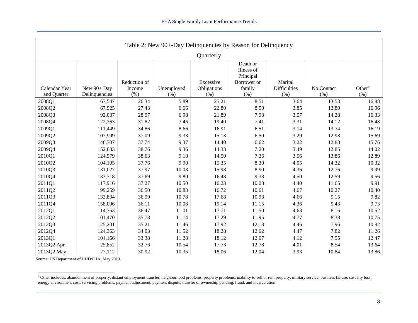<span id="page-3-0"></span>

| Table 2: New 90+-Day Delinquencies by Reason for Delinquency |                              |                                |                    |                                  |                                                                      |                                        |                    |                            |  |  |
|--------------------------------------------------------------|------------------------------|--------------------------------|--------------------|----------------------------------|----------------------------------------------------------------------|----------------------------------------|--------------------|----------------------------|--|--|
| Quarterly                                                    |                              |                                |                    |                                  |                                                                      |                                        |                    |                            |  |  |
| Calendar Year<br>and Quarter                                 | New 90+ Day<br>Delinquencies | Reduction of<br>Income<br>(% ) | Unemployed<br>(% ) | Excessive<br>Obligations<br>(% ) | Death or<br>Illness of<br>Principal<br>Borrower or<br>family<br>(% ) | Marital<br><b>Difficulties</b><br>(% ) | No Contact<br>(% ) | Other <sup>a</sup><br>(% ) |  |  |
| 2008Q1                                                       | 67,547                       | 26.34                          | 5.89               | 25.21                            | 8.51                                                                 | 3.64                                   | 13.53              | 16.88                      |  |  |
| 2008Q2                                                       | 67,925                       | 27.43                          | 6.66               | 22.80                            | 8.50                                                                 | 3.85                                   | 13.80              | 16.96                      |  |  |
| 2008Q3                                                       | 92,037                       | 28.97                          | 6.98               | 21.89                            | 7.98                                                                 | 3.57                                   | 14.28              | 16.33                      |  |  |
| 2008Q4                                                       | 122,363                      | 31.82                          | 7.46               | 19.40                            | 7.41                                                                 | 3.31                                   | 14.12              | 16.48                      |  |  |
| 2009Q1                                                       | 111,449                      | 34.86                          | 8.66               | 16.91                            | 6.51                                                                 | 3.14                                   | 13.74              | 16.19                      |  |  |
| 2009Q2                                                       | 107,999                      | 37.09                          | 9.33               | 15.13                            | 6.50                                                                 | 3.29                                   | 12.98              | 15.69                      |  |  |
| 2009Q3                                                       | 146,707                      | 37.74                          | 9.37               | 14.40                            | 6.62                                                                 | 3.22                                   | 12.88              | 15.76                      |  |  |
| 2009Q4                                                       | 152,883                      | 38.76                          | 9.36               | 14.33                            | 7.20                                                                 | 3.49                                   | 12.85              | 14.02                      |  |  |
| 2010Q1                                                       | 124,579                      | 38.63                          | 9.18               | 14.50                            | 7.36                                                                 | 3.56                                   | 13.86              | 12.89                      |  |  |
| 2010Q2                                                       | 104,105                      | 37.76                          | 9.90               | 15.35                            | 8.30                                                                 | 4.05                                   | 14.32              | 10.32                      |  |  |
| 2010Q3                                                       | 131,027                      | 37.97                          | 10.03              | 15.98                            | 8.90                                                                 | 4.36                                   | 12.76              | 9.99                       |  |  |
| 2010Q4                                                       | 133,718                      | 37.69                          | 9.80               | 16.48                            | 9.38                                                                 | 4.50                                   | 12.59              | 9.56                       |  |  |
| 2011Q1                                                       | 117,916                      | 37.27                          | 10.50              | 16.23                            | 10.03                                                                | 4.40                                   | 11.65              | 9.91                       |  |  |
| 2011Q2                                                       | 99,259                       | 36.50                          | 10.83              | 16.72                            | 10.61                                                                | 4.67                                   | 10.27              | 10.40                      |  |  |
| 2011Q3                                                       | 133,834                      | 36.99                          | 10.78              | 17.68                            | 10.93                                                                | 4.66                                   | 9.15               | 9.82                       |  |  |
| 2011Q4                                                       | 158,096                      | 36.11                          | 10.08              | 19.14                            | 11.15                                                                | 4.36                                   | 9.43               | 9.73                       |  |  |
| 2012Q1                                                       | 114,763                      | 36.47                          | 11.01              | 17.71                            | 11.50                                                                | 4.63                                   | 8.16               | 10.52                      |  |  |
| 2012Q2                                                       | 101,470                      | 35.73                          | 11.14              | 17.29                            | 11.95                                                                | 4.77                                   | 8.38               | 10.75                      |  |  |
| 2012Q3                                                       | 125,201                      | 35.21                          | 11.46              | 17.92                            | 12.18                                                                | 4.46                                   | 7.96               | 10.82                      |  |  |
| 2012Q4                                                       | 124,363                      | 34.03                          | 11.52              | 18.28                            | 12.62                                                                | 4.47                                   | 7.82               | 11.26                      |  |  |
| 2013Q1                                                       | 104,166                      | 33.38                          | 11.28              | 18.12                            | 12.67                                                                | 4.12                                   | 7.95               | 12.47                      |  |  |
| 2013Q2 Apr                                                   | 25,852                       | 32.76                          | 10.54              | 17.73                            | 12.78                                                                | 4.01                                   | 8.54               | 13.64                      |  |  |
| 2013Q2 May                                                   | 27,112                       | 30.92                          | 10.35              | 18.06                            | 12.04                                                                | 3.93                                   | 10.84              | 13.86                      |  |  |

Source: US Department of HUD/FHA; May 2013.

l

<sup>&</sup>lt;sup>a</sup> Other includes: abandonment of property, distant employment transfer, neighborhood problems, property problems, inability to sell or rent property, military service, business failure, casualty loss, energy environment cost, servicing problems, payment adjustment, payment dispute, transfer of ownership pending, fraud, and incarceration.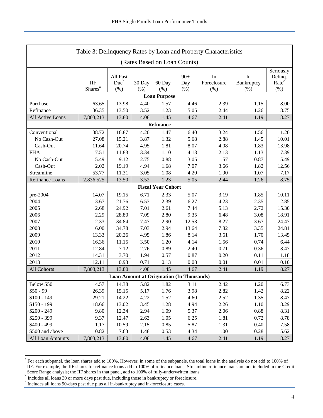| Table 3: Delinquency Rates by Loan and Property Characteristics |                                  |                                         |               |                                         |                     |                          |                          |                                                  |  |
|-----------------------------------------------------------------|----------------------------------|-----------------------------------------|---------------|-----------------------------------------|---------------------|--------------------------|--------------------------|--------------------------------------------------|--|
| (Rates Based on Loan Counts)                                    |                                  |                                         |               |                                         |                     |                          |                          |                                                  |  |
|                                                                 | $\rm IIF$<br>Shares <sup>a</sup> | All Past<br>Due <sup>b</sup><br>$(\% )$ | 30 Day<br>(%) | 60 Day<br>$(\%)$<br><b>Loan Purpose</b> | $90+$<br>Day<br>(%) | In<br>Foreclosure<br>(%) | In<br>Bankruptcy<br>(% ) | Seriously<br>Delinq.<br>Rate <sup>c</sup><br>(%) |  |
| Purchase                                                        | 63.65                            | 13.98                                   | 4.40          | 1.57                                    | 4.46                | 2.39                     | 1.15                     | 8.00                                             |  |
| Refinance                                                       | 36.35                            | 13.50                                   | 3.52          | 1.23                                    | 5.05                | 2.44                     | 1.26                     | 8.75                                             |  |
| All Active Loans                                                | 7,803,213                        | 13.80                                   | 4.08          | 1.45                                    | 4.67                | 2.41                     | 1.19                     | 8.27                                             |  |
|                                                                 |                                  |                                         |               | Refinance                               |                     |                          |                          |                                                  |  |
| Conventional                                                    | 38.72                            | 16.87                                   | 4.20          | 1.47                                    | 6.40                | 3.24                     | 1.56                     | 11.20                                            |  |
| No Cash-Out                                                     | 27.08                            | 15.21                                   | 3.87          | 1.32                                    | 5.68                | 2.88                     | 1.45                     | 10.01                                            |  |
| Cash-Out                                                        | 11.64                            | 20.74                                   | 4.95          | 1.81                                    | 8.07                | 4.08                     | 1.83                     | 13.98                                            |  |
| <b>FHA</b>                                                      | 7.51                             | 11.83                                   | 3.34          | 1.10                                    | 4.13                | 2.13                     | 1.13                     | 7.39                                             |  |
| No Cash-Out                                                     | 5.49                             | 9.12                                    | 2.75          | 0.88                                    | 3.05                | 1.57                     | 0.87                     | 5.49                                             |  |
| Cash-Out                                                        | 2.02                             | 19.19                                   | 4.94          | 1.68                                    | 7.07                | 3.66                     | 1.82                     | 12.56                                            |  |
| Streamline                                                      | 53.77                            | 11.31                                   | 3.05          | 1.08                                    | 4.20                | 1.90                     | 1.07                     | 7.17                                             |  |
| Refinance Loans                                                 | 2,836,525                        | 13.50                                   | 3.52          | 1.23                                    | 5.05                | 2.44                     | 1.26                     | 8.75                                             |  |
|                                                                 |                                  |                                         |               | <b>Fiscal Year Cohort</b>               |                     |                          |                          |                                                  |  |
| pre-2004                                                        | 14.07                            | 19.15                                   | 6.71          | 2.33                                    | 5.07                | 3.19                     | 1.85                     | 10.11                                            |  |
| 2004                                                            | 3.67                             | 21.76                                   | 6.53          | 2.39                                    | 6.27                | 4.23                     | 2.35                     | 12.85                                            |  |
| 2005                                                            | 2.68                             | 24.92                                   | 7.01          | 2.61                                    | 7.44                | 5.13                     | 2.72                     | 15.30                                            |  |
| 2006                                                            | 2.29                             | 28.80                                   | 7.09          | 2.80                                    | 9.35                | 6.48                     | 3.08                     | 18.91                                            |  |
| 2007                                                            | 2.33                             | 34.84                                   | 7.47          | 2.90                                    | 12.53               | 8.27                     | 3.67                     | 24.47                                            |  |
| 2008                                                            | 6.00                             | 34.78                                   | 7.03          | 2.94                                    | 13.64               | 7.82                     | 3.35                     | 24.81                                            |  |
| 2009                                                            | 13.33                            | 20.26                                   | 4.95          | 1.86                                    | 8.14                | 3.61                     | 1.70                     | 13.45                                            |  |
| 2010                                                            | 16.36                            | 11.15                                   | 3.50          | 1.20                                    | 4.14                | 1.56                     | 0.74                     | 6.44                                             |  |
| 2011                                                            | 12.84                            | 7.12                                    | 2.76          | 0.89                                    | 2.40                | 0.71                     | 0.36                     | 3.47                                             |  |
| 2012                                                            | 14.31                            | 3.70                                    | 1.94          | 0.57                                    | 0.87                | 0.20                     | 0.11                     | 1.18                                             |  |
| 2013                                                            | 12.11                            | 0.93                                    | 0.71          | 0.13                                    | 0.08                | 0.01                     | 0.01                     | 0.10                                             |  |
| All Cohorts                                                     | 7,803,213                        | 13.80                                   | 4.08          | 1.45                                    | 4.67                | 2.41                     | 1.19                     | 8.27                                             |  |
| <b>Loan Amount at Origination (In Thousands)</b>                |                                  |                                         |               |                                         |                     |                          |                          |                                                  |  |
| Below \$50                                                      | 4.57                             | 14.38                                   | 5.82          | 1.82                                    | 3.11                | 2.42                     | 1.20                     | 6.73                                             |  |
| $$50 - 99$                                                      | 26.39                            | 15.15                                   | 5.17          | 1.76                                    | 3.98                | 2.82                     | 1.42                     | 8.22                                             |  |
| $$100 - 149$                                                    | 29.21                            | 14.22                                   | 4.22          | 1.52                                    | 4.60                | 2.52                     | 1.35                     | 8.47                                             |  |
| $$150 - 199$                                                    | 18.66                            | 13.02                                   | 3.45          | 1.28                                    | 4.94                | 2.26                     | 1.10                     | 8.29                                             |  |
| $$200 - 249$                                                    | 9.80                             | 12.34                                   | 2.94          | 1.09                                    | 5.37                | 2.06                     | 0.88                     | 8.31                                             |  |
| $$250 - 399$                                                    | 9.37                             | 12.47                                   | 2.63          | 1.05                                    | 6.25                | 1.81                     | 0.72                     | 8.78                                             |  |
| $$400 - 499$                                                    | 1.17                             | 10.59                                   | 2.15          | 0.85                                    | 5.87                | 1.31                     | 0.40                     | 7.58                                             |  |
| \$500 and above                                                 | 0.82                             | 7.63                                    | 1.48          | 0.53                                    | 4.34                | 1.00                     | 0.28                     | 5.62                                             |  |
| All Loan Amounts                                                | 7,803,213                        | 13.80                                   | 4.08          | 1.45                                    | 4.67                | 2.41                     | 1.19                     | 8.27                                             |  |

<sup>&</sup>lt;sup>a</sup> For each subpanel, the loan shares add to 100%. However, in some of the subpanels, the total loans in the analysis do not add to 100% of IIF. For example, the IIF shares for refinance loans add to 100% of refinance loans. Streamline refinance loans are not included in the Credit

l

Score Range analysis; the IIF shares in that panel, add to 100% of fully-underwritten loans.<br><sup>b</sup> Includes all loans 30 or more days past due, including those in bankruptcy or foreclosure.

c Includes all loans 90-days past due plus all in-bankruptcy and in-foreclosure cases.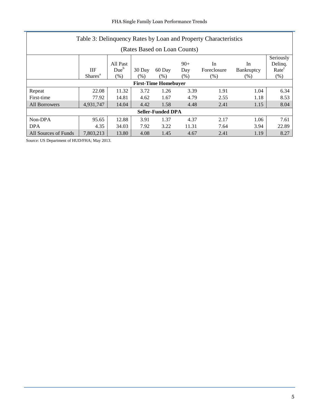| Table 3: Delinquency Rates by Loan and Property Characteristics |                     |                  |        |                             |       |             |            |                      |
|-----------------------------------------------------------------|---------------------|------------------|--------|-----------------------------|-------|-------------|------------|----------------------|
| (Rates Based on Loan Counts)                                    |                     |                  |        |                             |       |             |            |                      |
|                                                                 |                     | All Past         |        |                             | $90+$ | In          | In         | Seriously<br>Deling. |
|                                                                 | <b>IIF</b>          | Due <sup>b</sup> | 30 Day | 60 Day                      | Day   | Foreclosure | Bankruptcy | Rate <sup>c</sup>    |
|                                                                 | Shares <sup>a</sup> | (% )             | (%)    | (% )                        | (% )  | (% )        | (% )       | (% )                 |
|                                                                 |                     |                  |        | <b>First-Time Homebuyer</b> |       |             |            |                      |
| Repeat                                                          | 22.08               | 11.32            | 3.72   | 1.26                        | 3.39  | 1.91        | 1.04       | 6.34                 |
| First-time                                                      | 77.92               | 14.81            | 4.62   | 1.67                        | 4.79  | 2.55        | 1.18       | 8.53                 |
| All Borrowers                                                   | 4,931,747           | 14.04            | 4.42   | 1.58                        | 4.48  | 2.41        | 1.15       | 8.04                 |
| <b>Seller-Funded DPA</b>                                        |                     |                  |        |                             |       |             |            |                      |
| Non-DPA                                                         | 95.65               | 12.88            | 3.91   | 1.37                        | 4.37  | 2.17        | 1.06       | 7.61                 |
| <b>DPA</b>                                                      | 4.35                | 34.03            | 7.92   | 3.22                        | 11.31 | 7.64        | 3.94       | 22.89                |
| All Sources of Funds                                            | 7.803.213           | 13.80            | 4.08   | 1.45                        | 4.67  | 2.41        | 1.19       | 8.27                 |

<span id="page-5-0"></span>Source: US Department of HUD/FHA; May 2013.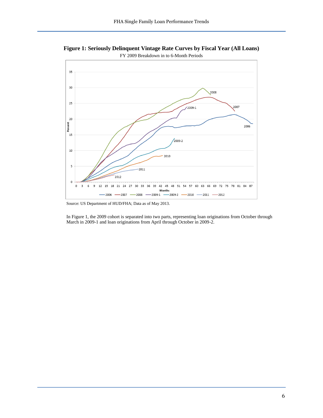**Figure 1: Seriously Delinquent Vintage Rate Curves by Fiscal Year (All Loans)**



Source: US Department of HUD/FHA; Data as of May 2013.

In Figure 1, the 2009 cohort is separated into two parts, representing loan originations from October through March in 2009-1 and loan originations from April through October in 2009-2.